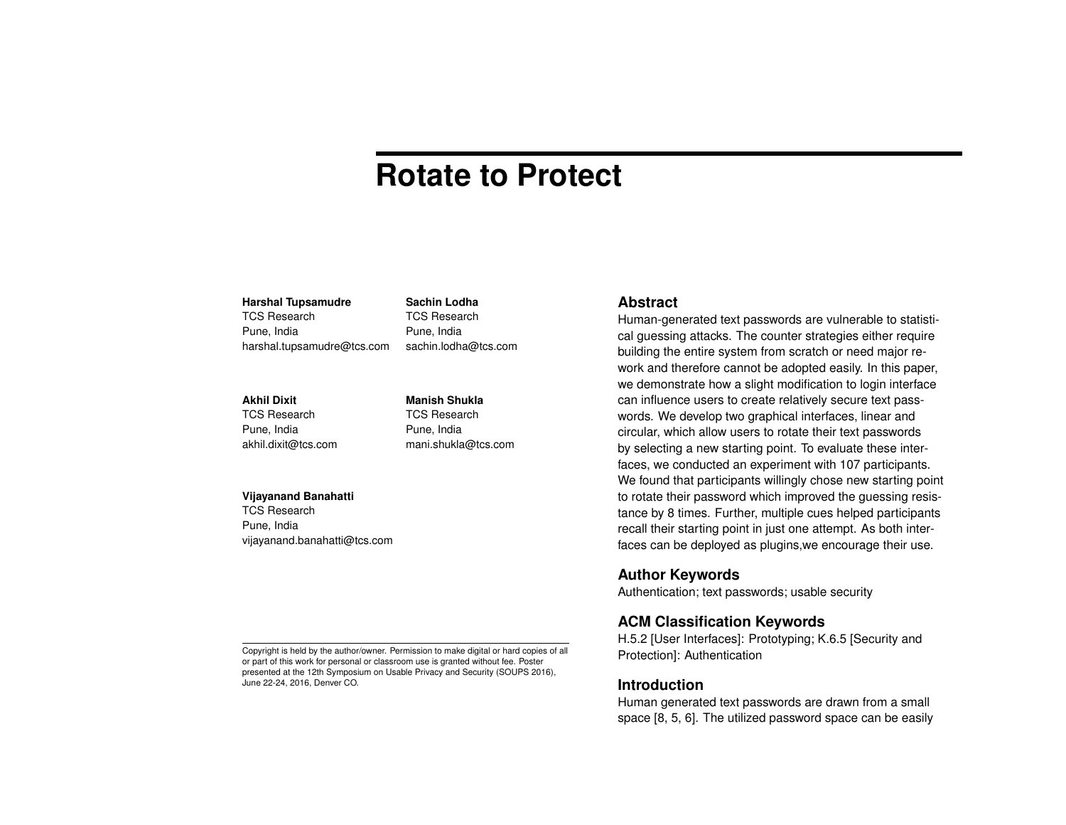# **Rotate to Protect**

#### **Harshal Tupsamudre**

TCS Research Pune, India harshal.tupsamudre@tcs.com

#### **Akhil Dixit**

TCS Research Pune, India akhil.dixit@tcs.com **Manish Shukla** TCS Research Pune, India mani.shukla@tcs.com

sachin.lodha@tcs.com

**Sachin Lodha** TCS Research Pune, India

#### **Vijayanand Banahatti**

TCS Research Pune, India vijayanand.banahatti@tcs.com

#### **Abstract**

Human-generated text passwords are vulnerable to statistical guessing attacks. The counter strategies either require building the entire system from scratch or need major rework and therefore cannot be adopted easily. In this paper, we demonstrate how a slight modification to login interface can influence users to create relatively secure text passwords. We develop two graphical interfaces, linear and circular, which allow users to rotate their text passwords by selecting a new starting point. To evaluate these interfaces, we conducted an experiment with 107 participants. We found that participants willingly chose new starting point to rotate their password which improved the guessing resistance by 8 times. Further, multiple cues helped participants recall their starting point in just one attempt. As both interfaces can be deployed as plugins,we encourage their use.

#### **Author Keywords**

Authentication; text passwords; usable security

## **ACM Classification Keywords**

H.5.2 [User Interfaces]: Prototyping; K.6.5 [Security and Protection]: Authentication

#### **Introduction**

Human generated text passwords are drawn from a small space [\[8,](#page-4-0) [5,](#page-4-1) [6\]](#page-4-2). The utilized password space can be easily

Copyright is held by the author/owner. Permission to make digital or hard copies of all or part of this work for personal or classroom use is granted without fee. Poster presented at the 12th Symposium on Usable Privacy and Security (SOUPS 2016), June 22-24, 2016, Denver CO.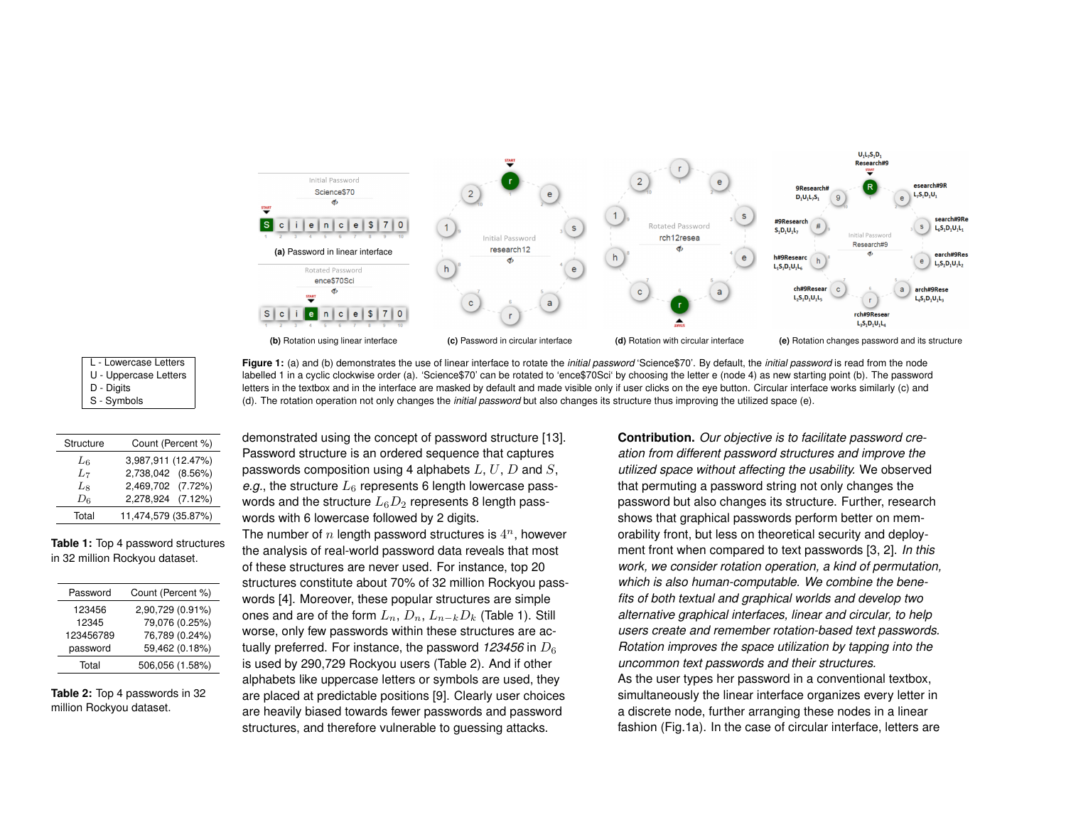

| L - Lowercase Letters |
|-----------------------|
| U - Uppercase Letters |
| D - Digits            |
| S - Symbols           |

| Figure 1: (a) and (b) demonstrates the use of linear interface to rotate the <i>initial password</i> 'Science\$70'. By default, the <i>initial password</i> is read from the node |
|-----------------------------------------------------------------------------------------------------------------------------------------------------------------------------------|
| labelled 1 in a cyclic clockwise order (a). 'Science\$70' can be rotated to 'ence\$70Sci' by choosing the letter e (node 4) as new starting point (b). The password               |
| letters in the textbox and in the interface are masked by default and made visible only if user clicks on the eye button. Circular interface works similarly (c) and              |
| (d). The rotation operation not only changes the <i>initial password</i> but also changes its structure thus improving the utilized space (e).                                    |

| Structure | Count (Percent %)   |
|-----------|---------------------|
| $L_6$     | 3,987,911 (12.47%)  |
| $L_7$     | 2,738,042 (8.56%)   |
| Lg        | 2,469,702 (7.72%)   |
| $D_6$     | 2,278,924 (7.12%)   |
| Total     | 11,474,579 (35.87%) |

**Table 1:** Top 4 password structures in 32 million Rockyou dataset.

| Password  | Count (Percent %) |
|-----------|-------------------|
| 123456    | 2,90,729 (0.91%)  |
| 12345     | 79,076 (0.25%)    |
| 123456789 | 76,789 (0.24%)    |
| password  | 59,462 (0.18%)    |
| Total     | 506,056 (1.58%)   |

**Table 2:** Top 4 passwords in 32 million Rockyou dataset.

demonstrated using the concept of password structure [\[13\]](#page-4-3). Password structure is an ordered sequence that captures passwords composition using 4 alphabets  $L, U, D$  and  $S$ , *e.g.*, the structure  $L_6$  represents 6 length lowercase passwords and the structure  $L_6D_2$  represents 8 length passwords with 6 lowercase followed by 2 digits.

The number of  $n$  length password structures is  $4^n$ , however the analysis of real-world password data reveals that most of these structures are never used. For instance, top 20 structures constitute about 70% of 32 million Rockyou passwords [\[4\]](#page-4-4). Moreover, these popular structures are simple ones and are of the form  $L_n$ ,  $D_n$ ,  $L_{n-k}D_k$  (Table 1). Still worse, only few passwords within these structures are actually preferred. For instance, the password  $123456$  in  $D_6$ is used by 290,729 Rockyou users (Table 2). And if other alphabets like uppercase letters or symbols are used, they are placed at predictable positions [\[9\]](#page-4-5). Clearly user choices are heavily biased towards fewer passwords and password structures, and therefore vulnerable to guessing attacks.

**Contribution.** *Our objective is to facilitate password creation from different password structures and improve the utilized space without affecting the usability.* We observed that permuting a password string not only changes the password but also changes its structure. Further, research shows that graphical passwords perform better on memorability front, but less on theoretical security and deployment front when compared to text passwords [\[3,](#page-4-6) [2\]](#page-4-7). *In this work, we consider rotation operation, a kind of permutation, which is also human-computable. We combine the benefits of both textual and graphical worlds and develop two alternative graphical interfaces, linear and circular, to help users create and remember rotation-based text passwords. Rotation improves the space utilization by tapping into the uncommon text passwords and their structures.* As the user types her password in a conventional textbox, simultaneously the linear interface organizes every letter in a discrete node, further arranging these nodes in a linear fashion (Fig.1a). In the case of circular interface, letters are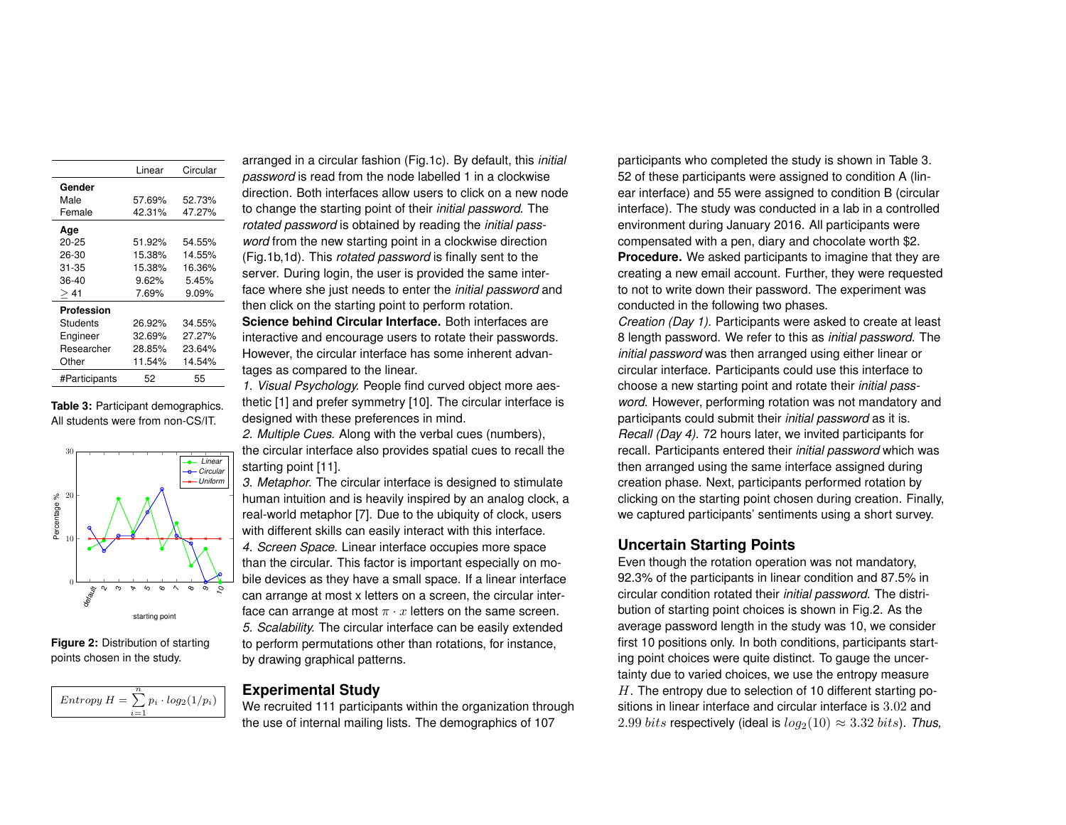|               | Linear | Circular |
|---------------|--------|----------|
| Gender        |        |          |
| Male          | 57.69% | 52.73%   |
| Female        | 42.31% | 47.27%   |
| Age           |        |          |
| $20 - 25$     | 51.92% | 54.55%   |
| 26-30         | 15.38% | 14.55%   |
| 31-35         | 15.38% | 16.36%   |
| 36-40         | 9.62%  | 5.45%    |
| > 41          | 7.69%  | 9.09%    |
| Profession    |        |          |
| Students      | 26.92% | 34.55%   |
| Engineer      | 32.69% | 27.27%   |
| Researcher    | 28.85% | 23.64%   |
| Other         | 11.54% | 14.54%   |
| #Participants | 52     | 55       |

**Table 3:** Participant demographics. All students were from non-CS/IT.



**Figure 2:** Distribution of starting points chosen in the study.



arranged in a circular fashion (Fig.1c). By default, this *initial password* is read from the node labelled 1 in a clockwise direction. Both interfaces allow users to click on a new node to change the starting point of their *initial password*. The *rotated password* is obtained by reading the *initial password* from the new starting point in a clockwise direction (Fig.1b,1d). This *rotated password* is finally sent to the server. During login, the user is provided the same interface where she just needs to enter the *initial password* and then click on the starting point to perform rotation. **Science behind Circular Interface.** Both interfaces are

interactive and encourage users to rotate their passwords. However, the circular interface has some inherent advantages as compared to the linear.

*1. Visual Psychology.* People find curved object more aesthetic [\[1\]](#page-4-8) and prefer symmetry [\[10\]](#page-4-9). The circular interface is designed with these preferences in mind.

*2. Multiple Cues.* Along with the verbal cues (numbers), the circular interface also provides spatial cues to recall the starting point [\[11\]](#page-4-10).

*3. Metaphor.* The circular interface is designed to stimulate human intuition and is heavily inspired by an analog clock, a real-world metaphor [\[7\]](#page-4-11). Due to the ubiquity of clock, users with different skills can easily interact with this interface. *4. Screen Space.* Linear interface occupies more space than the circular. This factor is important especially on mobile devices as they have a small space. If a linear interface can arrange at most x letters on a screen, the circular interface can arrange at most  $\pi \cdot x$  letters on the same screen. *5. Scalability.* The circular interface can be easily extended to perform permutations other than rotations, for instance, by drawing graphical patterns.

## **Experimental Study**

We recruited 111 participants within the organization through the use of internal mailing lists. The demographics of 107

participants who completed the study is shown in Table 3. 52 of these participants were assigned to condition A (linear interface) and 55 were assigned to condition B (circular interface). The study was conducted in a lab in a controlled environment during January 2016. All participants were compensated with a pen, diary and chocolate worth \$2. **Procedure.** We asked participants to imagine that they are creating a new email account. Further, they were requested to not to write down their password. The experiment was conducted in the following two phases.

*Creation (Day 1).* Participants were asked to create at least 8 length password. We refer to this as *initial password*. The *initial password* was then arranged using either linear or circular interface. Participants could use this interface to choose a new starting point and rotate their *initial password*. However, performing rotation was not mandatory and participants could submit their *initial password* as it is. *Recall (Day 4).* 72 hours later, we invited participants for recall. Participants entered their *initial password* which was then arranged using the same interface assigned during creation phase. Next, participants performed rotation by clicking on the starting point chosen during creation. Finally, we captured participants' sentiments using a short survey.

# **Uncertain Starting Points**

Even though the rotation operation was not mandatory, 92.3% of the participants in linear condition and 87.5% in circular condition rotated their *initial password*. The distribution of starting point choices is shown in Fig.2. As the average password length in the study was 10, we consider first 10 positions only. In both conditions, participants starting point choices were quite distinct. To gauge the uncertainty due to varied choices, we use the entropy measure  $H$ . The entropy due to selection of 10 different starting positions in linear interface and circular interface is 3.02 and 2.99 *bits* respectively (ideal is  $log_2(10) \approx 3.32$  *bits*). *Thus,*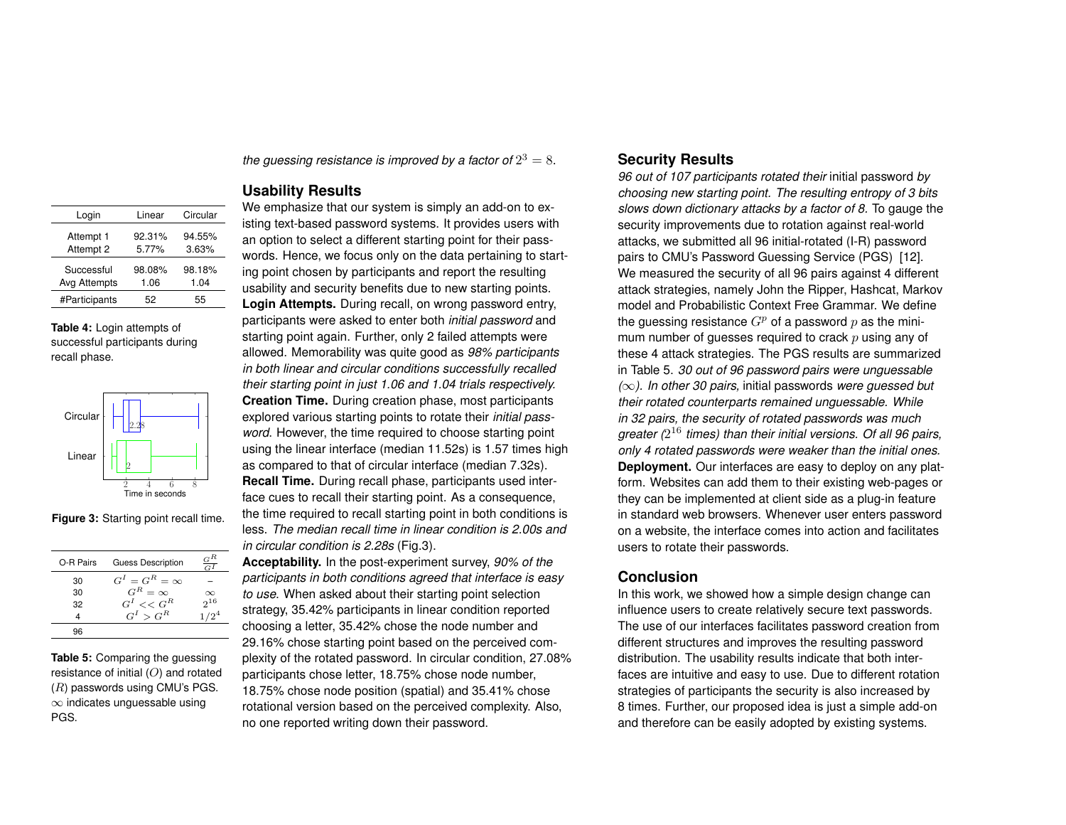| Login         | Linear | Circular |  |
|---------------|--------|----------|--|
| Attempt 1     | 92.31% | 94.55%   |  |
| Attempt 2     | 5.77%  | 3.63%    |  |
| Successful    | 98.08% | 98.18%   |  |
| Avg Attempts  | 1.06   | 1.04     |  |
| #Participants | 52     | 55       |  |

**Table 4:** Login attempts of successful participants during recall phase.



**Figure 3:** Starting point recall time.

| O-R Pairs | <b>Guess Description</b> | $_{G}$ R<br>$\overline{G}$ |
|-----------|--------------------------|----------------------------|
| 30        | $G^I = G^R = \infty$     |                            |
| 30        | $G^R = \infty$           | $\infty$                   |
| 32        | $G^I \ll G^R$            | $2^{16}$                   |
| 4         | $G^I > G^R$              | $1/2^4$                    |
| 96        |                          |                            |

**Table 5:** Comparing the guessing resistance of initial  $(O)$  and rotated  $(R)$  passwords using CMU's PGS. ∞ indicates unguessable using PGS.

the guessing resistance is improved by a factor of  $2^3 = 8$ .

## **Usability Results**

We emphasize that our system is simply an add-on to existing text-based password systems. It provides users with an option to select a different starting point for their passwords. Hence, we focus only on the data pertaining to starting point chosen by participants and report the resulting usability and security benefits due to new starting points. **Login Attempts.** During recall, on wrong password entry, participants were asked to enter both *initial password* and starting point again. Further, only 2 failed attempts were allowed. Memorability was quite good as *98% participants in both linear and circular conditions successfully recalled their starting point in just 1.06 and 1.04 trials respectively.* **Creation Time.** During creation phase, most participants explored various starting points to rotate their *initial password*. However, the time required to choose starting point using the linear interface (median 11.52s) is 1.57 times high as compared to that of circular interface (median 7.32s). **Recall Time.** During recall phase, participants used interface cues to recall their starting point. As a consequence, the time required to recall starting point in both conditions is less. *The median recall time in linear condition is 2.00s and in circular condition is 2.28s* (Fig.3).

**Acceptability.** In the post-experiment survey, *90% of the participants in both conditions agreed that interface is easy to use*. When asked about their starting point selection strategy, 35.42% participants in linear condition reported choosing a letter, 35.42% chose the node number and 29.16% chose starting point based on the perceived complexity of the rotated password. In circular condition, 27.08% participants chose letter, 18.75% chose node number, 18.75% chose node position (spatial) and 35.41% chose rotational version based on the perceived complexity. Also, no one reported writing down their password.

# **Security Results**

*96 out of 107 participants rotated their* initial password *by choosing new starting point. The resulting entropy of 3 bits slows down dictionary attacks by a factor of 8.* To gauge the security improvements due to rotation against real-world attacks, we submitted all 96 initial-rotated (I-R) password pairs to CMU's Password Guessing Service (PGS) [\[12\]](#page-4-12). We measured the security of all 96 pairs against 4 different attack strategies, namely John the Ripper, Hashcat, Markov model and Probabilistic Context Free Grammar. We define the guessing resistance  $G<sup>p</sup>$  of a password p as the minimum number of guesses required to crack  $p$  using any of these 4 attack strategies. The PGS results are summarized in Table 5. *30 out of 96 password pairs were unguessable (*∞*). In other 30 pairs,* initial passwords *were guessed but their rotated counterparts remained unguessable. While in 32 pairs, the security of rotated passwords was much greater (*2 <sup>16</sup> *times) than their initial versions. Of all 96 pairs, only 4 rotated passwords were weaker than the initial ones.* **Deployment.** Our interfaces are easy to deploy on any platform. Websites can add them to their existing web-pages or they can be implemented at client side as a plug-in feature in standard web browsers. Whenever user enters password on a website, the interface comes into action and facilitates users to rotate their passwords.

## **Conclusion**

In this work, we showed how a simple design change can influence users to create relatively secure text passwords. The use of our interfaces facilitates password creation from different structures and improves the resulting password distribution. The usability results indicate that both interfaces are intuitive and easy to use. Due to different rotation strategies of participants the security is also increased by 8 times. Further, our proposed idea is just a simple add-on and therefore can be easily adopted by existing systems.